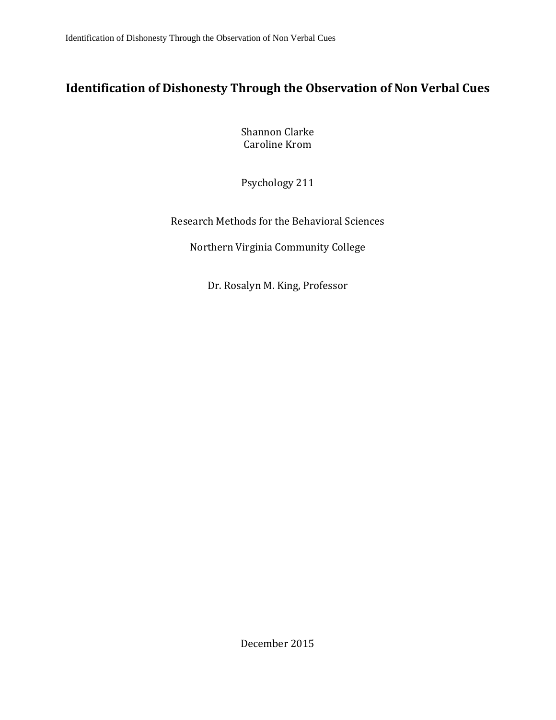# **Identification of Dishonesty Through the Observation of Non Verbal Cues**

Shannon Clarke Caroline Krom

Psychology 211

Research Methods for the Behavioral Sciences

Northern Virginia Community College

Dr. Rosalyn M. King, Professor

December 2015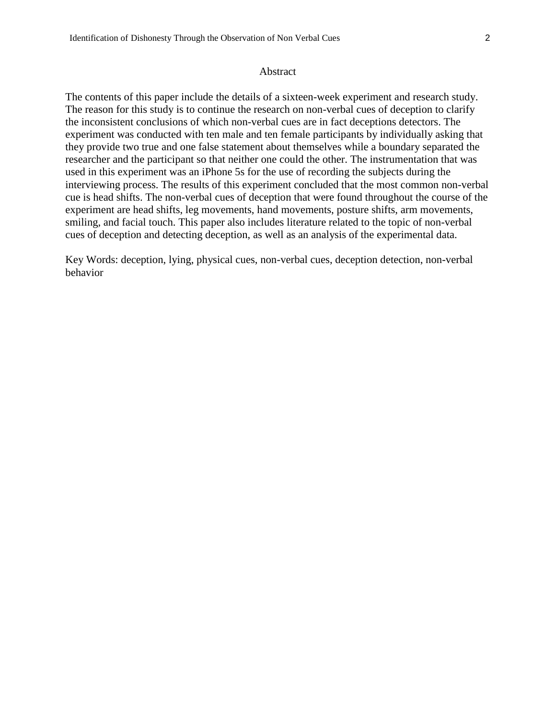#### Abstract

The contents of this paper include the details of a sixteen-week experiment and research study. The reason for this study is to continue the research on non-verbal cues of deception to clarify the inconsistent conclusions of which non-verbal cues are in fact deceptions detectors. The experiment was conducted with ten male and ten female participants by individually asking that they provide two true and one false statement about themselves while a boundary separated the researcher and the participant so that neither one could the other. The instrumentation that was used in this experiment was an iPhone 5s for the use of recording the subjects during the interviewing process. The results of this experiment concluded that the most common non-verbal cue is head shifts. The non-verbal cues of deception that were found throughout the course of the experiment are head shifts, leg movements, hand movements, posture shifts, arm movements, smiling, and facial touch. This paper also includes literature related to the topic of non-verbal cues of deception and detecting deception, as well as an analysis of the experimental data.

Key Words: deception, lying, physical cues, non-verbal cues, deception detection, non-verbal behavior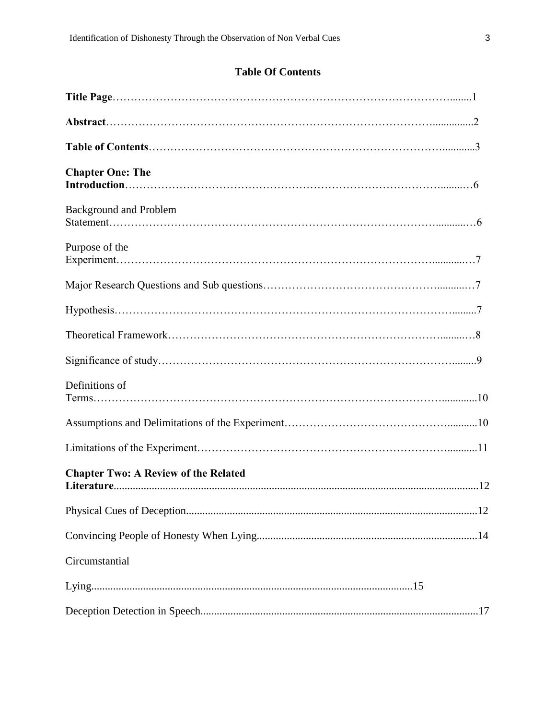# **Table Of Contents**

| <b>Chapter One: The</b>                     |  |
|---------------------------------------------|--|
| <b>Background and Problem</b>               |  |
| Purpose of the                              |  |
|                                             |  |
|                                             |  |
|                                             |  |
|                                             |  |
| Definitions of                              |  |
|                                             |  |
|                                             |  |
| <b>Chapter Two: A Review of the Related</b> |  |
|                                             |  |
|                                             |  |
| Circumstantial                              |  |
|                                             |  |
|                                             |  |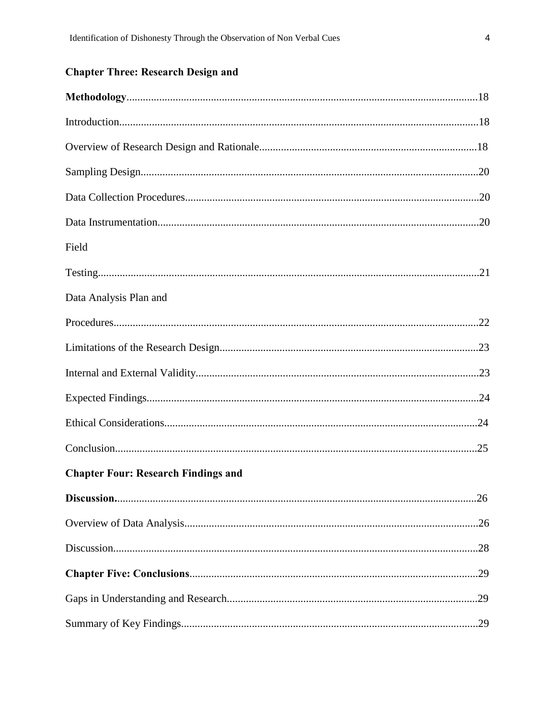# **Chapter Three: Research Design and**

| Field                                      |     |
|--------------------------------------------|-----|
|                                            |     |
| Data Analysis Plan and                     |     |
|                                            |     |
|                                            |     |
|                                            |     |
|                                            |     |
|                                            |     |
|                                            |     |
| <b>Chapter Four: Research Findings and</b> |     |
|                                            | .26 |
|                                            |     |
|                                            |     |
|                                            |     |
|                                            |     |
|                                            |     |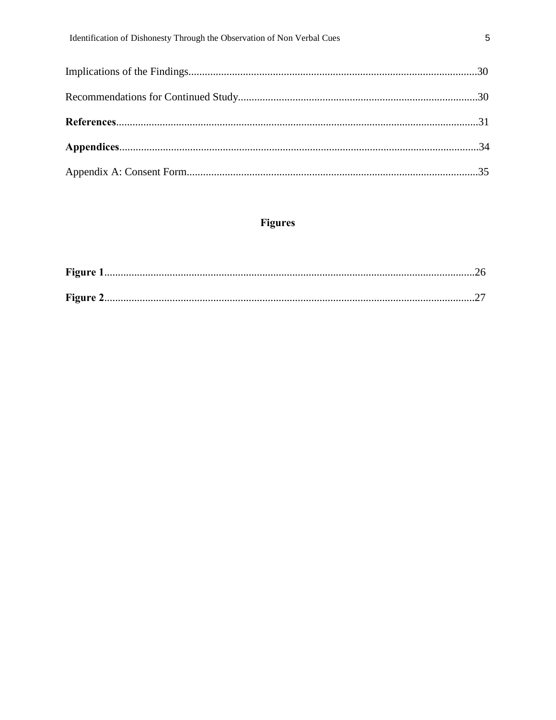# Figures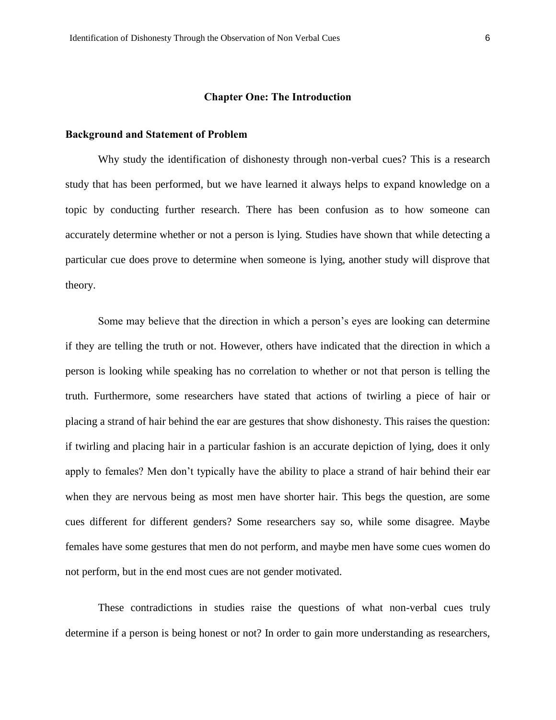#### **Chapter One: The Introduction**

#### **Background and Statement of Problem**

Why study the identification of dishonesty through non-verbal cues? This is a research study that has been performed, but we have learned it always helps to expand knowledge on a topic by conducting further research. There has been confusion as to how someone can accurately determine whether or not a person is lying. Studies have shown that while detecting a particular cue does prove to determine when someone is lying, another study will disprove that theory.

Some may believe that the direction in which a person's eyes are looking can determine if they are telling the truth or not. However, others have indicated that the direction in which a person is looking while speaking has no correlation to whether or not that person is telling the truth. Furthermore, some researchers have stated that actions of twirling a piece of hair or placing a strand of hair behind the ear are gestures that show dishonesty. This raises the question: if twirling and placing hair in a particular fashion is an accurate depiction of lying, does it only apply to females? Men don't typically have the ability to place a strand of hair behind their ear when they are nervous being as most men have shorter hair. This begs the question, are some cues different for different genders? Some researchers say so, while some disagree. Maybe females have some gestures that men do not perform, and maybe men have some cues women do not perform, but in the end most cues are not gender motivated.

These contradictions in studies raise the questions of what non-verbal cues truly determine if a person is being honest or not? In order to gain more understanding as researchers,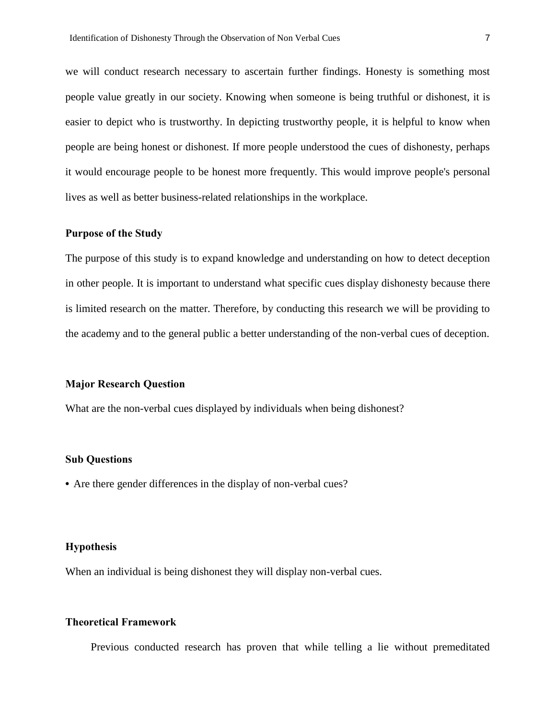we will conduct research necessary to ascertain further findings. Honesty is something most people value greatly in our society. Knowing when someone is being truthful or dishonest, it is easier to depict who is trustworthy. In depicting trustworthy people, it is helpful to know when people are being honest or dishonest. If more people understood the cues of dishonesty, perhaps it would encourage people to be honest more frequently. This would improve people's personal lives as well as better business-related relationships in the workplace.

#### **Purpose of the Study**

The purpose of this study is to expand knowledge and understanding on how to detect deception in other people. It is important to understand what specific cues display dishonesty because there is limited research on the matter. Therefore, by conducting this research we will be providing to the academy and to the general public a better understanding of the non-verbal cues of deception.

#### **Major Research Question**

What are the non-verbal cues displayed by individuals when being dishonest?

#### **Sub Questions**

**•** Are there gender differences in the display of non-verbal cues?

#### **Hypothesis**

When an individual is being dishonest they will display non-verbal cues.

#### **Theoretical Framework**

Previous conducted research has proven that while telling a lie without premeditated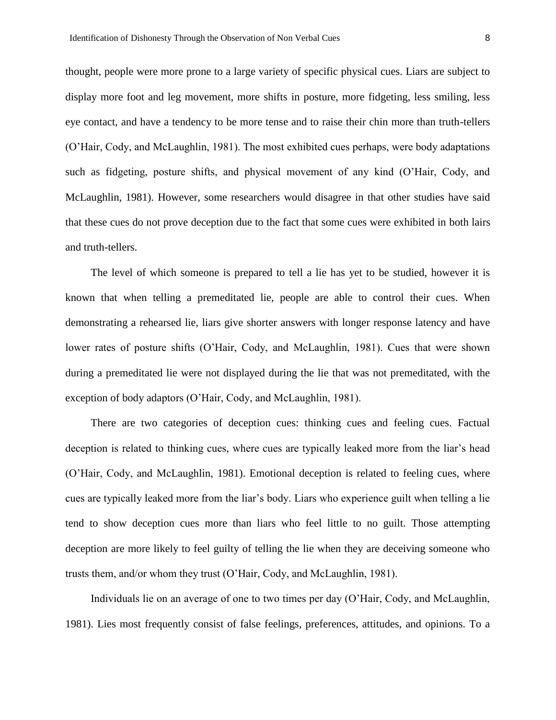thought, people were more prone to a large variety of specific physical cues. Liars are subject to display more foot and leg movement, more shifts in posture, more fidgeting, less smiling, less eye contact, and have a tendency to be more tense and to raise their chin more than truth-tellers (O'Hair, Cody, and McLaughlin, 1981). The most exhibited cues perhaps, were body adaptations such as fidgeting, posture shifts, and physical movement of any kind (O'Hair, Cody, and McLaughlin, 1981). However, some researchers would disagree in that other studies have said that these cues do not prove deception due to the fact that some cues were exhibited in both lairs and truth-tellers.

The level of which someone is prepared to tell a lie has yet to be studied, however it is known that when telling a premeditated lie, people are able to control their cues. When demonstrating a rehearsed lie, liars give shorter answers with longer response latency and have lower rates of posture shifts (O'Hair, Cody, and McLaughlin, 1981). Cues that were shown during a premeditated lie were not displayed during the lie that was not premeditated, with the exception of body adaptors (O'Hair, Cody, and McLaughlin, 1981).

There are two categories of deception cues: thinking cues and feeling cues. Factual deception is related to thinking cues, where cues are typically leaked more from the liar's head (O'Hair, Cody, and McLaughlin, 1981). Emotional deception is related to feeling cues, where cues are typically leaked more from the liar's body. Liars who experience guilt when telling a lie tend to show deception cues more than liars who feel little to no guilt. Those attempting deception are more likely to feel guilty of telling the lie when they are deceiving someone who trusts them, and/or whom they trust (O'Hair, Cody, and McLaughlin, 1981).

Individuals lie on an average of one to two times per day (O'Hair, Cody, and McLaughlin, 1981). Lies most frequently consist of false feelings, preferences, attitudes, and opinions. To a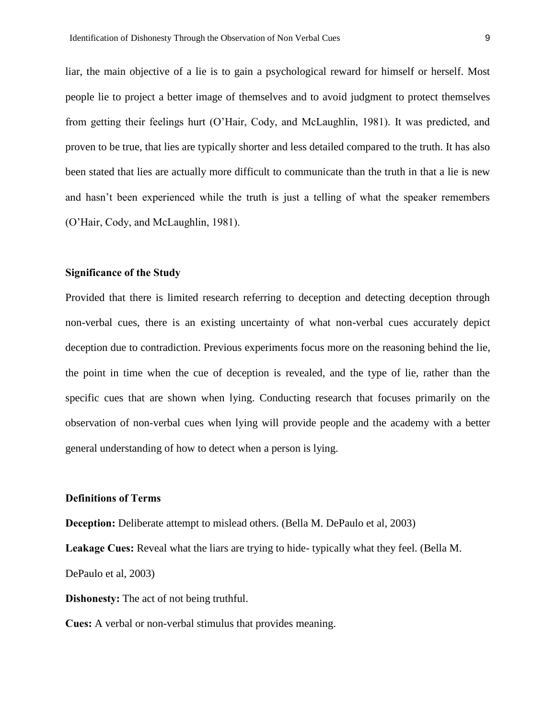liar, the main objective of a lie is to gain a psychological reward for himself or herself. Most people lie to project a better image of themselves and to avoid judgment to protect themselves from getting their feelings hurt (O'Hair, Cody, and McLaughlin, 1981). It was predicted, and proven to be true, that lies are typically shorter and less detailed compared to the truth. It has also been stated that lies are actually more difficult to communicate than the truth in that a lie is new and hasn't been experienced while the truth is just a telling of what the speaker remembers (O'Hair, Cody, and McLaughlin, 1981).

#### **Significance of the Study**

Provided that there is limited research referring to deception and detecting deception through non-verbal cues, there is an existing uncertainty of what non-verbal cues accurately depict deception due to contradiction. Previous experiments focus more on the reasoning behind the lie, the point in time when the cue of deception is revealed, and the type of lie, rather than the specific cues that are shown when lying. Conducting research that focuses primarily on the observation of non-verbal cues when lying will provide people and the academy with a better general understanding of how to detect when a person is lying.

#### **Definitions of Terms**

**Deception:** Deliberate attempt to mislead others. (Bella M. DePaulo et al, 2003)

**Leakage Cues:** Reveal what the liars are trying to hide- typically what they feel. (Bella M.

DePaulo et al, 2003)

**Dishonesty:** The act of not being truthful.

**Cues:** A verbal or non-verbal stimulus that provides meaning.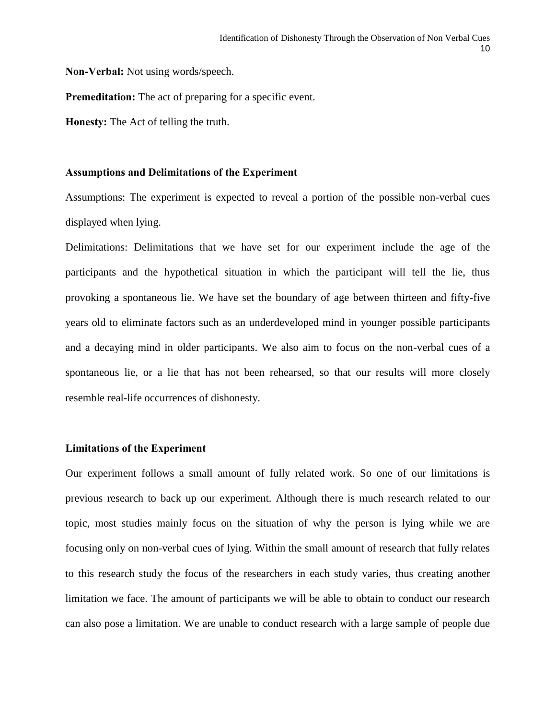**Non-Verbal:** Not using words/speech.

**Premeditation:** The act of preparing for a specific event.

**Honesty:** The Act of telling the truth.

#### **Assumptions and Delimitations of the Experiment**

Assumptions: The experiment is expected to reveal a portion of the possible non-verbal cues displayed when lying.

Delimitations: Delimitations that we have set for our experiment include the age of the participants and the hypothetical situation in which the participant will tell the lie, thus provoking a spontaneous lie. We have set the boundary of age between thirteen and fifty-five years old to eliminate factors such as an underdeveloped mind in younger possible participants and a decaying mind in older participants. We also aim to focus on the non-verbal cues of a spontaneous lie, or a lie that has not been rehearsed, so that our results will more closely resemble real-life occurrences of dishonesty.

#### **Limitations of the Experiment**

Our experiment follows a small amount of fully related work. So one of our limitations is previous research to back up our experiment. Although there is much research related to our topic, most studies mainly focus on the situation of why the person is lying while we are focusing only on non-verbal cues of lying. Within the small amount of research that fully relates to this research study the focus of the researchers in each study varies, thus creating another limitation we face. The amount of participants we will be able to obtain to conduct our research can also pose a limitation. We are unable to conduct research with a large sample of people due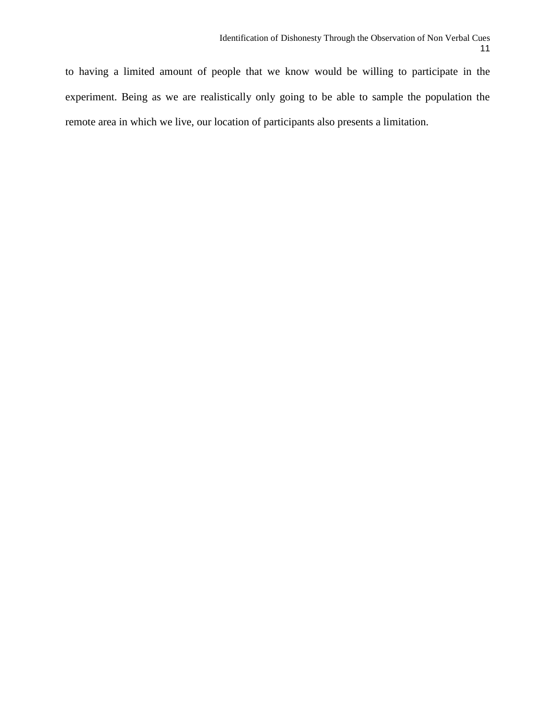to having a limited amount of people that we know would be willing to participate in the experiment. Being as we are realistically only going to be able to sample the population the remote area in which we live, our location of participants also presents a limitation.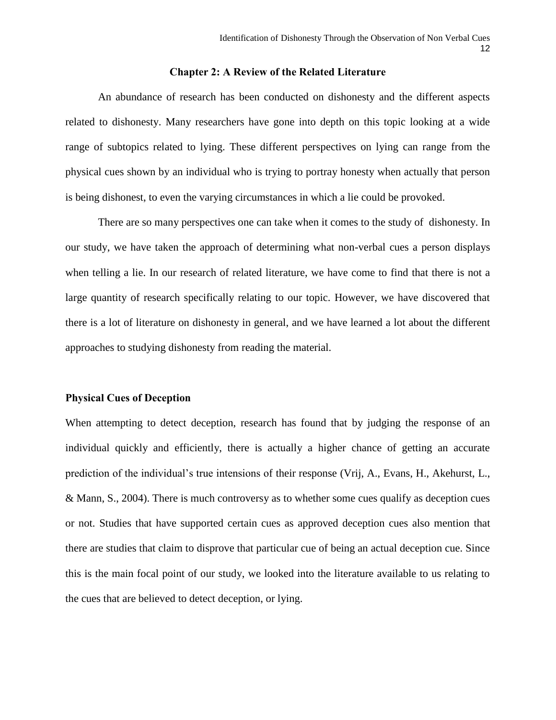#### **Chapter 2: A Review of the Related Literature**

An abundance of research has been conducted on dishonesty and the different aspects related to dishonesty. Many researchers have gone into depth on this topic looking at a wide range of subtopics related to lying. These different perspectives on lying can range from the physical cues shown by an individual who is trying to portray honesty when actually that person is being dishonest, to even the varying circumstances in which a lie could be provoked.

There are so many perspectives one can take when it comes to the study of dishonesty. In our study, we have taken the approach of determining what non-verbal cues a person displays when telling a lie. In our research of related literature, we have come to find that there is not a large quantity of research specifically relating to our topic. However, we have discovered that there is a lot of literature on dishonesty in general, and we have learned a lot about the different approaches to studying dishonesty from reading the material.

#### **Physical Cues of Deception**

When attempting to detect deception, research has found that by judging the response of an individual quickly and efficiently, there is actually a higher chance of getting an accurate prediction of the individual's true intensions of their response (Vrij, A., Evans, H., Akehurst, L., & Mann, S., 2004). There is much controversy as to whether some cues qualify as deception cues or not. Studies that have supported certain cues as approved deception cues also mention that there are studies that claim to disprove that particular cue of being an actual deception cue. Since this is the main focal point of our study, we looked into the literature available to us relating to the cues that are believed to detect deception, or lying.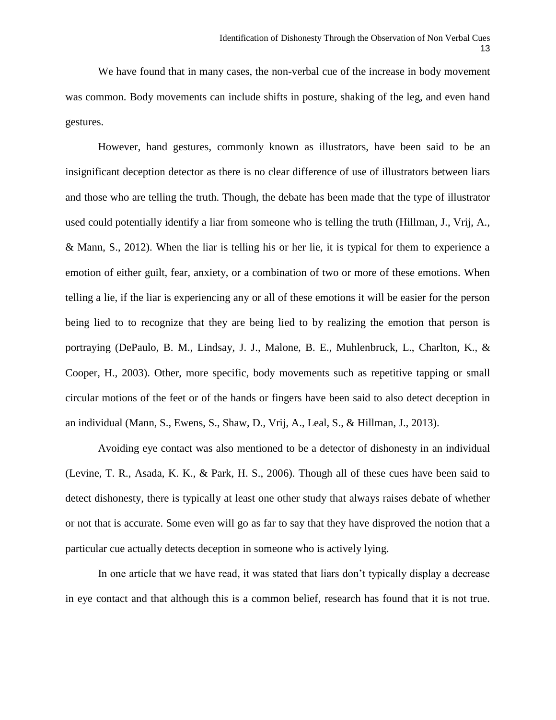We have found that in many cases, the non-verbal cue of the increase in body movement was common. Body movements can include shifts in posture, shaking of the leg, and even hand gestures.

However, hand gestures, commonly known as illustrators, have been said to be an insignificant deception detector as there is no clear difference of use of illustrators between liars and those who are telling the truth. Though, the debate has been made that the type of illustrator used could potentially identify a liar from someone who is telling the truth (Hillman, J., Vrij, A., & Mann, S., 2012). When the liar is telling his or her lie, it is typical for them to experience a emotion of either guilt, fear, anxiety, or a combination of two or more of these emotions. When telling a lie, if the liar is experiencing any or all of these emotions it will be easier for the person being lied to to recognize that they are being lied to by realizing the emotion that person is portraying (DePaulo, B. M., Lindsay, J. J., Malone, B. E., Muhlenbruck, L., Charlton, K., & Cooper, H., 2003). Other, more specific, body movements such as repetitive tapping or small circular motions of the feet or of the hands or fingers have been said to also detect deception in an individual (Mann, S., Ewens, S., Shaw, D., Vrij, A., Leal, S., & Hillman, J., 2013).

Avoiding eye contact was also mentioned to be a detector of dishonesty in an individual (Levine, T. R., Asada, K. K., & Park, H. S., 2006). Though all of these cues have been said to detect dishonesty, there is typically at least one other study that always raises debate of whether or not that is accurate. Some even will go as far to say that they have disproved the notion that a particular cue actually detects deception in someone who is actively lying.

In one article that we have read, it was stated that liars don't typically display a decrease in eye contact and that although this is a common belief, research has found that it is not true.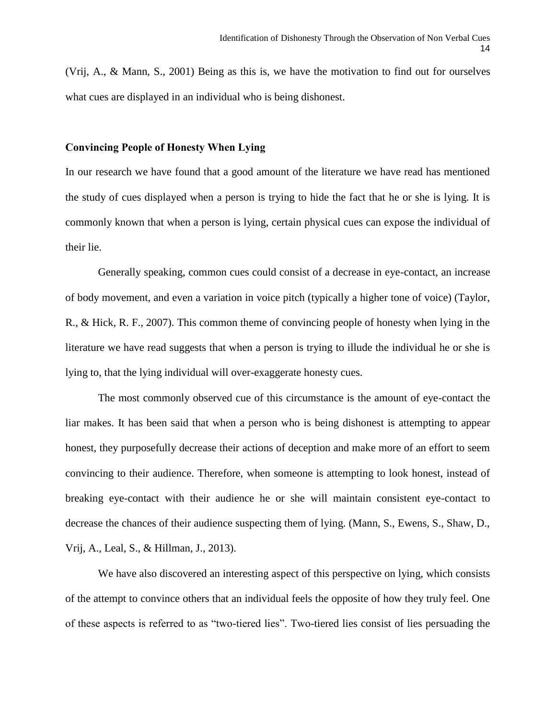(Vrij, A., & Mann, S., 2001) Being as this is, we have the motivation to find out for ourselves what cues are displayed in an individual who is being dishonest.

#### **Convincing People of Honesty When Lying**

In our research we have found that a good amount of the literature we have read has mentioned the study of cues displayed when a person is trying to hide the fact that he or she is lying. It is commonly known that when a person is lying, certain physical cues can expose the individual of their lie.

Generally speaking, common cues could consist of a decrease in eye-contact, an increase of body movement, and even a variation in voice pitch (typically a higher tone of voice) (Taylor, R., & Hick, R. F., 2007). This common theme of convincing people of honesty when lying in the literature we have read suggests that when a person is trying to illude the individual he or she is lying to, that the lying individual will over-exaggerate honesty cues.

The most commonly observed cue of this circumstance is the amount of eye-contact the liar makes. It has been said that when a person who is being dishonest is attempting to appear honest, they purposefully decrease their actions of deception and make more of an effort to seem convincing to their audience. Therefore, when someone is attempting to look honest, instead of breaking eye-contact with their audience he or she will maintain consistent eye-contact to decrease the chances of their audience suspecting them of lying. (Mann, S., Ewens, S., Shaw, D., Vrij, A., Leal, S., & Hillman, J., 2013).

We have also discovered an interesting aspect of this perspective on lying, which consists of the attempt to convince others that an individual feels the opposite of how they truly feel. One of these aspects is referred to as "two-tiered lies". Two-tiered lies consist of lies persuading the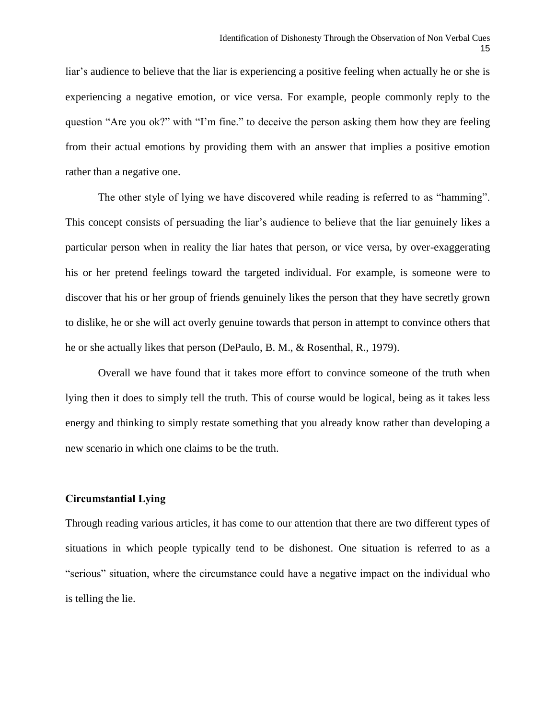liar's audience to believe that the liar is experiencing a positive feeling when actually he or she is experiencing a negative emotion, or vice versa. For example, people commonly reply to the question "Are you ok?" with "I'm fine." to deceive the person asking them how they are feeling from their actual emotions by providing them with an answer that implies a positive emotion rather than a negative one.

The other style of lying we have discovered while reading is referred to as "hamming". This concept consists of persuading the liar's audience to believe that the liar genuinely likes a particular person when in reality the liar hates that person, or vice versa, by over-exaggerating his or her pretend feelings toward the targeted individual. For example, is someone were to discover that his or her group of friends genuinely likes the person that they have secretly grown to dislike, he or she will act overly genuine towards that person in attempt to convince others that he or she actually likes that person (DePaulo, B. M., & Rosenthal, R., 1979).

Overall we have found that it takes more effort to convince someone of the truth when lying then it does to simply tell the truth. This of course would be logical, being as it takes less energy and thinking to simply restate something that you already know rather than developing a new scenario in which one claims to be the truth.

#### **Circumstantial Lying**

Through reading various articles, it has come to our attention that there are two different types of situations in which people typically tend to be dishonest. One situation is referred to as a "serious" situation, where the circumstance could have a negative impact on the individual who is telling the lie.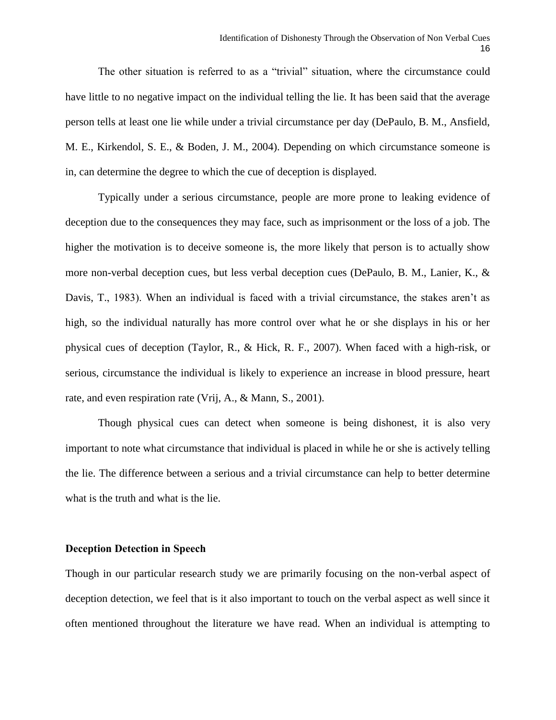The other situation is referred to as a "trivial" situation, where the circumstance could have little to no negative impact on the individual telling the lie. It has been said that the average person tells at least one lie while under a trivial circumstance per day (DePaulo, B. M., Ansfield, M. E., Kirkendol, S. E., & Boden, J. M., 2004). Depending on which circumstance someone is in, can determine the degree to which the cue of deception is displayed.

Typically under a serious circumstance, people are more prone to leaking evidence of deception due to the consequences they may face, such as imprisonment or the loss of a job. The higher the motivation is to deceive someone is, the more likely that person is to actually show more non-verbal deception cues, but less verbal deception cues (DePaulo, B. M., Lanier, K., & Davis, T., 1983). When an individual is faced with a trivial circumstance, the stakes aren't as high, so the individual naturally has more control over what he or she displays in his or her physical cues of deception (Taylor, R., & Hick, R. F., 2007). When faced with a high-risk, or serious, circumstance the individual is likely to experience an increase in blood pressure, heart rate, and even respiration rate (Vrij, A., & Mann, S., 2001).

Though physical cues can detect when someone is being dishonest, it is also very important to note what circumstance that individual is placed in while he or she is actively telling the lie. The difference between a serious and a trivial circumstance can help to better determine what is the truth and what is the lie.

#### **Deception Detection in Speech**

Though in our particular research study we are primarily focusing on the non-verbal aspect of deception detection, we feel that is it also important to touch on the verbal aspect as well since it often mentioned throughout the literature we have read. When an individual is attempting to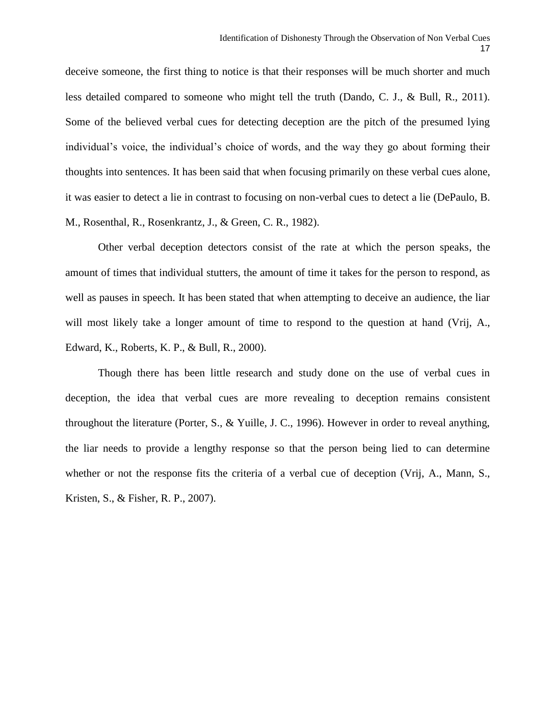deceive someone, the first thing to notice is that their responses will be much shorter and much less detailed compared to someone who might tell the truth (Dando, C. J., & Bull, R., 2011). Some of the believed verbal cues for detecting deception are the pitch of the presumed lying individual's voice, the individual's choice of words, and the way they go about forming their thoughts into sentences. It has been said that when focusing primarily on these verbal cues alone, it was easier to detect a lie in contrast to focusing on non-verbal cues to detect a lie (DePaulo, B. M., Rosenthal, R., Rosenkrantz, J., & Green, C. R., 1982).

Other verbal deception detectors consist of the rate at which the person speaks, the amount of times that individual stutters, the amount of time it takes for the person to respond, as well as pauses in speech. It has been stated that when attempting to deceive an audience, the liar will most likely take a longer amount of time to respond to the question at hand (Vrij, A., Edward, K., Roberts, K. P., & Bull, R., 2000).

Though there has been little research and study done on the use of verbal cues in deception, the idea that verbal cues are more revealing to deception remains consistent throughout the literature (Porter, S., & Yuille, J. C., 1996). However in order to reveal anything, the liar needs to provide a lengthy response so that the person being lied to can determine whether or not the response fits the criteria of a verbal cue of deception (Vrij, A., Mann, S., Kristen, S., & Fisher, R. P., 2007).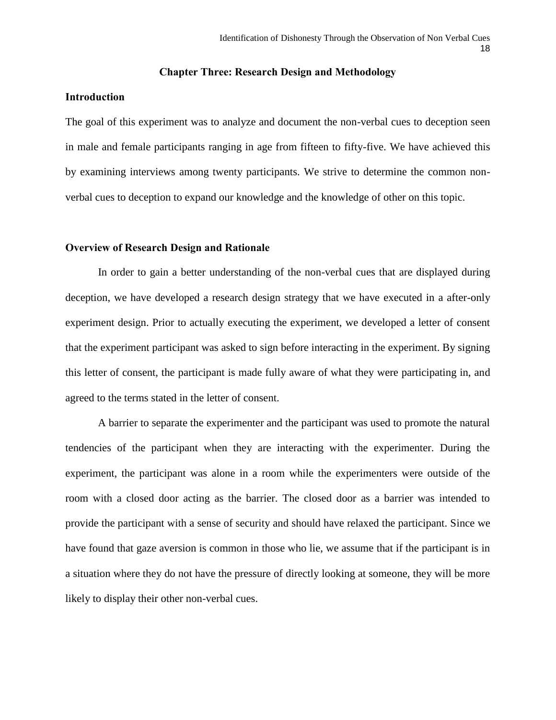#### **Chapter Three: Research Design and Methodology**

#### **Introduction**

The goal of this experiment was to analyze and document the non-verbal cues to deception seen in male and female participants ranging in age from fifteen to fifty-five. We have achieved this by examining interviews among twenty participants. We strive to determine the common nonverbal cues to deception to expand our knowledge and the knowledge of other on this topic.

#### **Overview of Research Design and Rationale**

In order to gain a better understanding of the non-verbal cues that are displayed during deception, we have developed a research design strategy that we have executed in a after-only experiment design. Prior to actually executing the experiment, we developed a letter of consent that the experiment participant was asked to sign before interacting in the experiment. By signing this letter of consent, the participant is made fully aware of what they were participating in, and agreed to the terms stated in the letter of consent.

A barrier to separate the experimenter and the participant was used to promote the natural tendencies of the participant when they are interacting with the experimenter. During the experiment, the participant was alone in a room while the experimenters were outside of the room with a closed door acting as the barrier. The closed door as a barrier was intended to provide the participant with a sense of security and should have relaxed the participant. Since we have found that gaze aversion is common in those who lie, we assume that if the participant is in a situation where they do not have the pressure of directly looking at someone, they will be more likely to display their other non-verbal cues.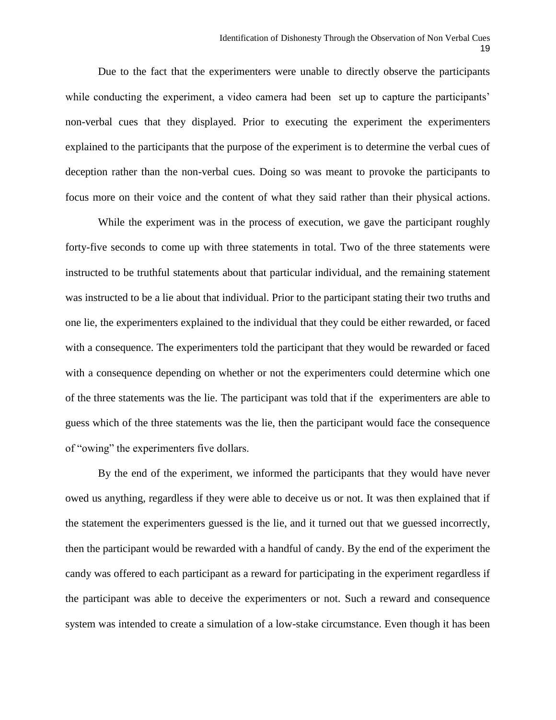Due to the fact that the experimenters were unable to directly observe the participants while conducting the experiment, a video camera had been set up to capture the participants' non-verbal cues that they displayed. Prior to executing the experiment the experimenters explained to the participants that the purpose of the experiment is to determine the verbal cues of deception rather than the non-verbal cues. Doing so was meant to provoke the participants to focus more on their voice and the content of what they said rather than their physical actions.

While the experiment was in the process of execution, we gave the participant roughly forty-five seconds to come up with three statements in total. Two of the three statements were instructed to be truthful statements about that particular individual, and the remaining statement was instructed to be a lie about that individual. Prior to the participant stating their two truths and one lie, the experimenters explained to the individual that they could be either rewarded, or faced with a consequence. The experimenters told the participant that they would be rewarded or faced with a consequence depending on whether or not the experimenters could determine which one of the three statements was the lie. The participant was told that if the experimenters are able to guess which of the three statements was the lie, then the participant would face the consequence of "owing" the experimenters five dollars.

By the end of the experiment, we informed the participants that they would have never owed us anything, regardless if they were able to deceive us or not. It was then explained that if the statement the experimenters guessed is the lie, and it turned out that we guessed incorrectly, then the participant would be rewarded with a handful of candy. By the end of the experiment the candy was offered to each participant as a reward for participating in the experiment regardless if the participant was able to deceive the experimenters or not. Such a reward and consequence system was intended to create a simulation of a low-stake circumstance. Even though it has been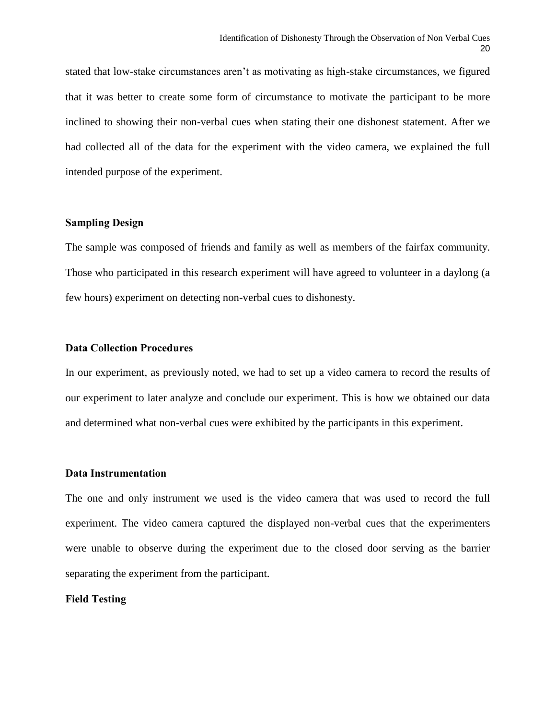stated that low-stake circumstances aren't as motivating as high-stake circumstances, we figured that it was better to create some form of circumstance to motivate the participant to be more inclined to showing their non-verbal cues when stating their one dishonest statement. After we had collected all of the data for the experiment with the video camera, we explained the full intended purpose of the experiment.

## **Sampling Design**

The sample was composed of friends and family as well as members of the fairfax community. Those who participated in this research experiment will have agreed to volunteer in a daylong (a few hours) experiment on detecting non-verbal cues to dishonesty.

#### **Data Collection Procedures**

In our experiment, as previously noted, we had to set up a video camera to record the results of our experiment to later analyze and conclude our experiment. This is how we obtained our data and determined what non-verbal cues were exhibited by the participants in this experiment.

#### **Data Instrumentation**

The one and only instrument we used is the video camera that was used to record the full experiment. The video camera captured the displayed non-verbal cues that the experimenters were unable to observe during the experiment due to the closed door serving as the barrier separating the experiment from the participant.

#### **Field Testing**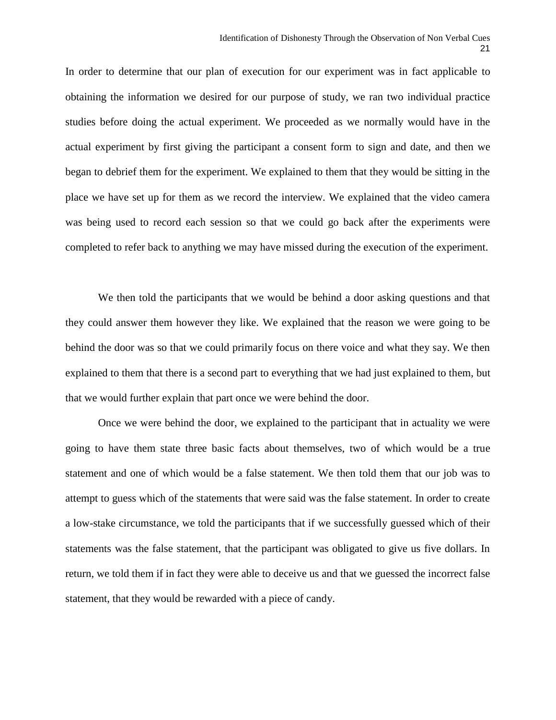In order to determine that our plan of execution for our experiment was in fact applicable to obtaining the information we desired for our purpose of study, we ran two individual practice studies before doing the actual experiment. We proceeded as we normally would have in the actual experiment by first giving the participant a consent form to sign and date, and then we began to debrief them for the experiment. We explained to them that they would be sitting in the place we have set up for them as we record the interview. We explained that the video camera was being used to record each session so that we could go back after the experiments were completed to refer back to anything we may have missed during the execution of the experiment.

We then told the participants that we would be behind a door asking questions and that they could answer them however they like. We explained that the reason we were going to be behind the door was so that we could primarily focus on there voice and what they say. We then explained to them that there is a second part to everything that we had just explained to them, but that we would further explain that part once we were behind the door.

Once we were behind the door, we explained to the participant that in actuality we were going to have them state three basic facts about themselves, two of which would be a true statement and one of which would be a false statement. We then told them that our job was to attempt to guess which of the statements that were said was the false statement. In order to create a low-stake circumstance, we told the participants that if we successfully guessed which of their statements was the false statement, that the participant was obligated to give us five dollars. In return, we told them if in fact they were able to deceive us and that we guessed the incorrect false statement, that they would be rewarded with a piece of candy.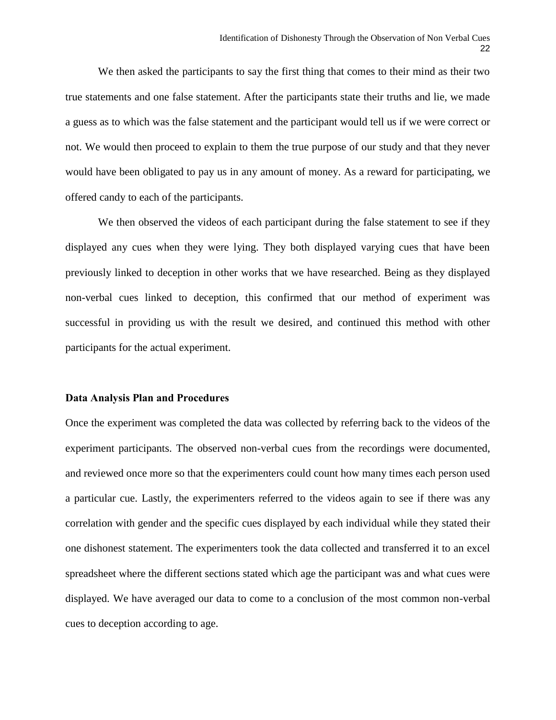We then asked the participants to say the first thing that comes to their mind as their two true statements and one false statement. After the participants state their truths and lie, we made a guess as to which was the false statement and the participant would tell us if we were correct or not. We would then proceed to explain to them the true purpose of our study and that they never would have been obligated to pay us in any amount of money. As a reward for participating, we offered candy to each of the participants.

We then observed the videos of each participant during the false statement to see if they displayed any cues when they were lying. They both displayed varying cues that have been previously linked to deception in other works that we have researched. Being as they displayed non-verbal cues linked to deception, this confirmed that our method of experiment was successful in providing us with the result we desired, and continued this method with other participants for the actual experiment.

#### **Data Analysis Plan and Procedures**

Once the experiment was completed the data was collected by referring back to the videos of the experiment participants. The observed non-verbal cues from the recordings were documented, and reviewed once more so that the experimenters could count how many times each person used a particular cue. Lastly, the experimenters referred to the videos again to see if there was any correlation with gender and the specific cues displayed by each individual while they stated their one dishonest statement. The experimenters took the data collected and transferred it to an excel spreadsheet where the different sections stated which age the participant was and what cues were displayed. We have averaged our data to come to a conclusion of the most common non-verbal cues to deception according to age.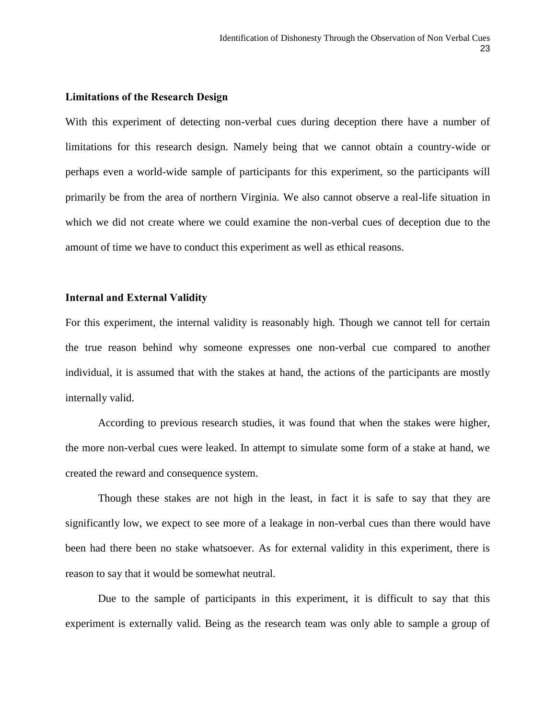#### **Limitations of the Research Design**

With this experiment of detecting non-verbal cues during deception there have a number of limitations for this research design. Namely being that we cannot obtain a country-wide or perhaps even a world-wide sample of participants for this experiment, so the participants will primarily be from the area of northern Virginia. We also cannot observe a real-life situation in which we did not create where we could examine the non-verbal cues of deception due to the amount of time we have to conduct this experiment as well as ethical reasons.

#### **Internal and External Validity**

For this experiment, the internal validity is reasonably high. Though we cannot tell for certain the true reason behind why someone expresses one non-verbal cue compared to another individual, it is assumed that with the stakes at hand, the actions of the participants are mostly internally valid.

According to previous research studies, it was found that when the stakes were higher, the more non-verbal cues were leaked. In attempt to simulate some form of a stake at hand, we created the reward and consequence system.

Though these stakes are not high in the least, in fact it is safe to say that they are significantly low, we expect to see more of a leakage in non-verbal cues than there would have been had there been no stake whatsoever. As for external validity in this experiment, there is reason to say that it would be somewhat neutral.

Due to the sample of participants in this experiment, it is difficult to say that this experiment is externally valid. Being as the research team was only able to sample a group of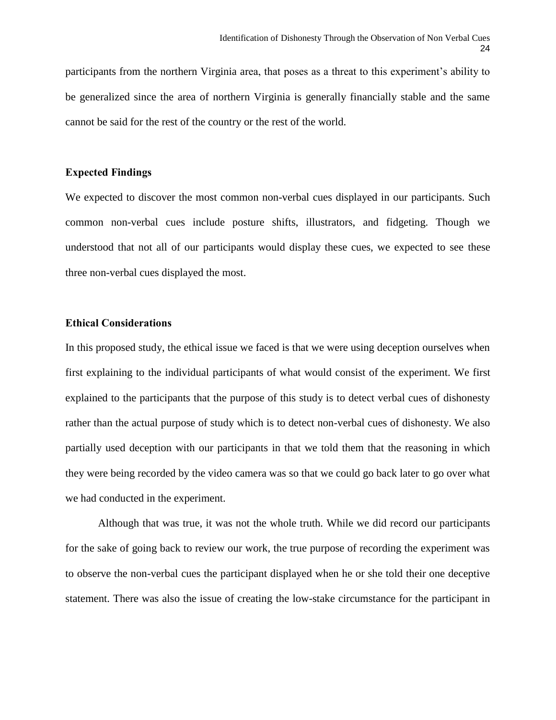participants from the northern Virginia area, that poses as a threat to this experiment's ability to be generalized since the area of northern Virginia is generally financially stable and the same cannot be said for the rest of the country or the rest of the world.

#### **Expected Findings**

We expected to discover the most common non-verbal cues displayed in our participants. Such common non-verbal cues include posture shifts, illustrators, and fidgeting. Though we understood that not all of our participants would display these cues, we expected to see these three non-verbal cues displayed the most.

#### **Ethical Considerations**

In this proposed study, the ethical issue we faced is that we were using deception ourselves when first explaining to the individual participants of what would consist of the experiment. We first explained to the participants that the purpose of this study is to detect verbal cues of dishonesty rather than the actual purpose of study which is to detect non-verbal cues of dishonesty. We also partially used deception with our participants in that we told them that the reasoning in which they were being recorded by the video camera was so that we could go back later to go over what we had conducted in the experiment.

Although that was true, it was not the whole truth. While we did record our participants for the sake of going back to review our work, the true purpose of recording the experiment was to observe the non-verbal cues the participant displayed when he or she told their one deceptive statement. There was also the issue of creating the low-stake circumstance for the participant in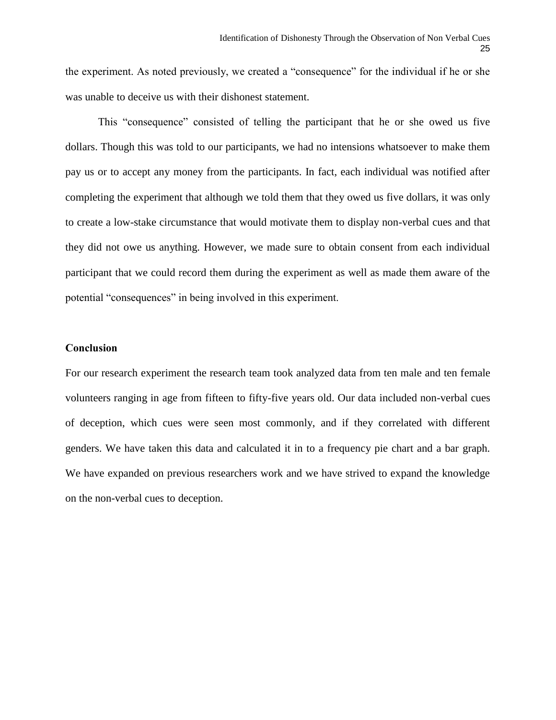the experiment. As noted previously, we created a "consequence" for the individual if he or she was unable to deceive us with their dishonest statement.

This "consequence" consisted of telling the participant that he or she owed us five dollars. Though this was told to our participants, we had no intensions whatsoever to make them pay us or to accept any money from the participants. In fact, each individual was notified after completing the experiment that although we told them that they owed us five dollars, it was only to create a low-stake circumstance that would motivate them to display non-verbal cues and that they did not owe us anything. However, we made sure to obtain consent from each individual participant that we could record them during the experiment as well as made them aware of the potential "consequences" in being involved in this experiment.

#### **Conclusion**

For our research experiment the research team took analyzed data from ten male and ten female volunteers ranging in age from fifteen to fifty-five years old. Our data included non-verbal cues of deception, which cues were seen most commonly, and if they correlated with different genders. We have taken this data and calculated it in to a frequency pie chart and a bar graph. We have expanded on previous researchers work and we have strived to expand the knowledge on the non-verbal cues to deception.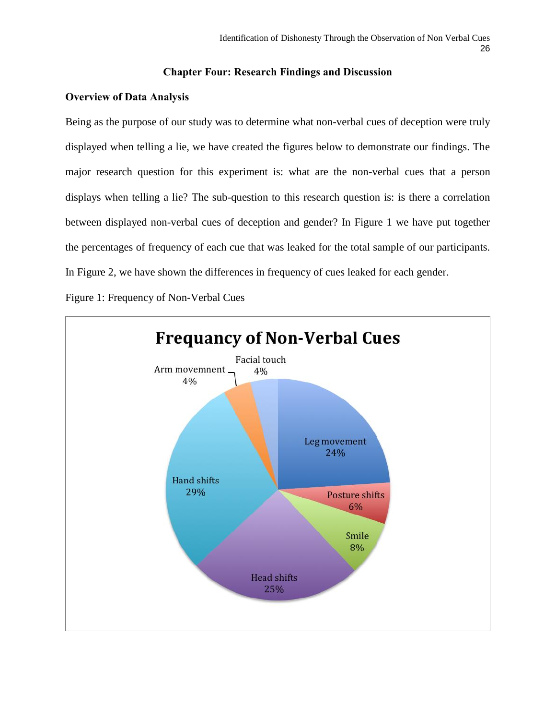# **Chapter Four: Research Findings and Discussion**

# **Overview of Data Analysis**

Being as the purpose of our study was to determine what non-verbal cues of deception were truly displayed when telling a lie, we have created the figures below to demonstrate our findings. The major research question for this experiment is: what are the non-verbal cues that a person displays when telling a lie? The sub-question to this research question is: is there a correlation between displayed non-verbal cues of deception and gender? In Figure 1 we have put together the percentages of frequency of each cue that was leaked for the total sample of our participants. In Figure 2, we have shown the differences in frequency of cues leaked for each gender.

Figure 1: Frequency of Non-Verbal Cues

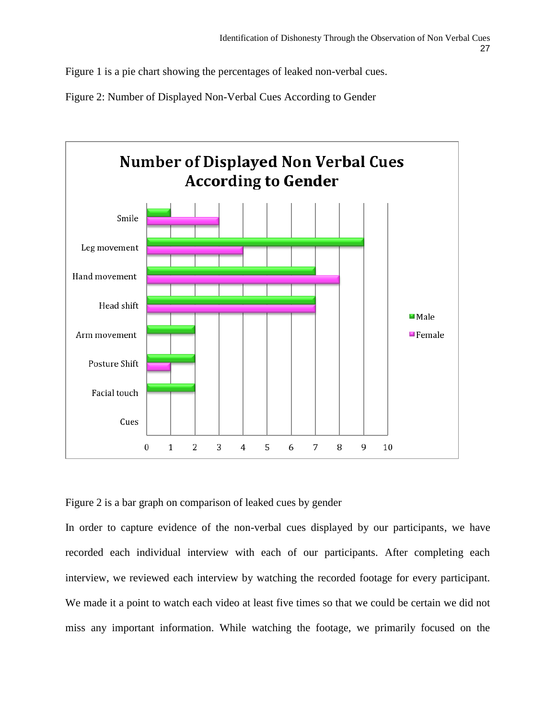Figure 1 is a pie chart showing the percentages of leaked non-verbal cues.

Figure 2: Number of Displayed Non-Verbal Cues According to Gender



Figure 2 is a bar graph on comparison of leaked cues by gender

In order to capture evidence of the non-verbal cues displayed by our participants, we have recorded each individual interview with each of our participants. After completing each interview, we reviewed each interview by watching the recorded footage for every participant. We made it a point to watch each video at least five times so that we could be certain we did not miss any important information. While watching the footage, we primarily focused on the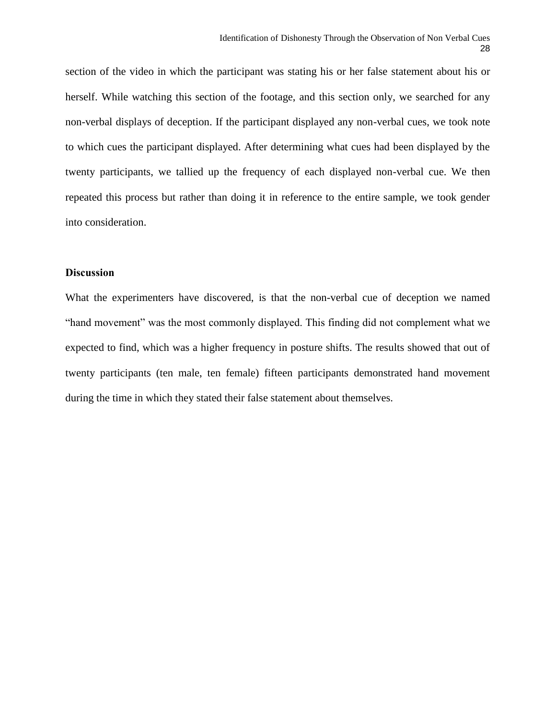section of the video in which the participant was stating his or her false statement about his or herself. While watching this section of the footage, and this section only, we searched for any non-verbal displays of deception. If the participant displayed any non-verbal cues, we took note to which cues the participant displayed. After determining what cues had been displayed by the twenty participants, we tallied up the frequency of each displayed non-verbal cue. We then repeated this process but rather than doing it in reference to the entire sample, we took gender into consideration.

# **Discussion**

What the experimenters have discovered, is that the non-verbal cue of deception we named "hand movement" was the most commonly displayed. This finding did not complement what we expected to find, which was a higher frequency in posture shifts. The results showed that out of twenty participants (ten male, ten female) fifteen participants demonstrated hand movement during the time in which they stated their false statement about themselves.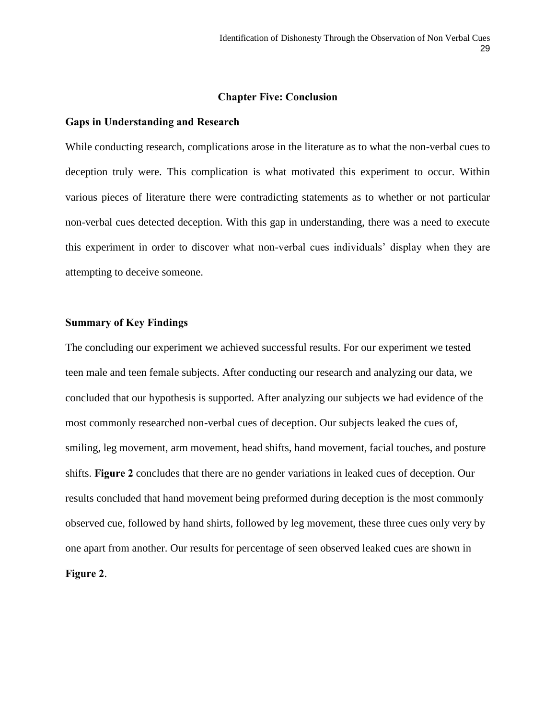#### **Chapter Five: Conclusion**

#### **Gaps in Understanding and Research**

While conducting research, complications arose in the literature as to what the non-verbal cues to deception truly were. This complication is what motivated this experiment to occur. Within various pieces of literature there were contradicting statements as to whether or not particular non-verbal cues detected deception. With this gap in understanding, there was a need to execute this experiment in order to discover what non-verbal cues individuals' display when they are attempting to deceive someone.

#### **Summary of Key Findings**

The concluding our experiment we achieved successful results. For our experiment we tested teen male and teen female subjects. After conducting our research and analyzing our data, we concluded that our hypothesis is supported. After analyzing our subjects we had evidence of the most commonly researched non-verbal cues of deception. Our subjects leaked the cues of, smiling, leg movement, arm movement, head shifts, hand movement, facial touches, and posture shifts. **Figure 2** concludes that there are no gender variations in leaked cues of deception. Our results concluded that hand movement being preformed during deception is the most commonly observed cue, followed by hand shirts, followed by leg movement, these three cues only very by one apart from another. Our results for percentage of seen observed leaked cues are shown in **Figure 2**.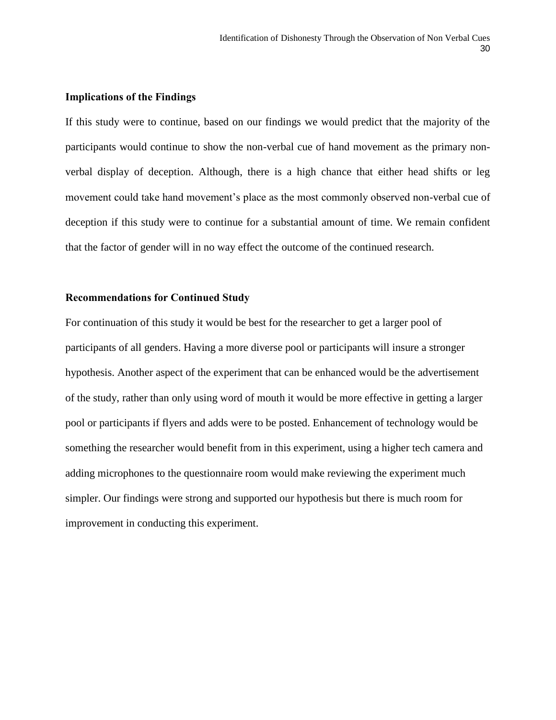#### **Implications of the Findings**

If this study were to continue, based on our findings we would predict that the majority of the participants would continue to show the non-verbal cue of hand movement as the primary nonverbal display of deception. Although, there is a high chance that either head shifts or leg movement could take hand movement's place as the most commonly observed non-verbal cue of deception if this study were to continue for a substantial amount of time. We remain confident that the factor of gender will in no way effect the outcome of the continued research.

#### **Recommendations for Continued Study**

For continuation of this study it would be best for the researcher to get a larger pool of participants of all genders. Having a more diverse pool or participants will insure a stronger hypothesis. Another aspect of the experiment that can be enhanced would be the advertisement of the study, rather than only using word of mouth it would be more effective in getting a larger pool or participants if flyers and adds were to be posted. Enhancement of technology would be something the researcher would benefit from in this experiment, using a higher tech camera and adding microphones to the questionnaire room would make reviewing the experiment much simpler. Our findings were strong and supported our hypothesis but there is much room for improvement in conducting this experiment.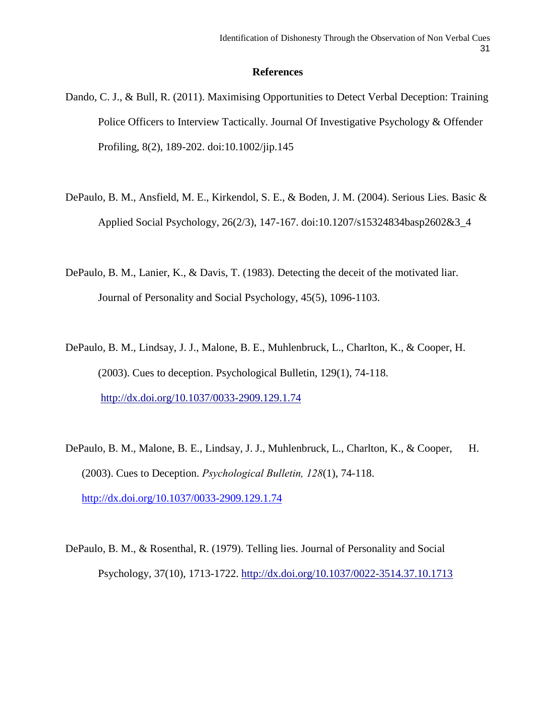#### **References**

- Dando, C. J., & Bull, R. (2011). Maximising Opportunities to Detect Verbal Deception: Training Police Officers to Interview Tactically. Journal Of Investigative Psychology & Offender Profiling, 8(2), 189-202. doi:10.1002/jip.145
- DePaulo, B. M., Ansfield, M. E., Kirkendol, S. E., & Boden, J. M. (2004). Serious Lies. Basic & Applied Social Psychology, 26(2/3), 147-167. doi:10.1207/s15324834basp2602&3\_4
- DePaulo, B. M., Lanier, K., & Davis, T. (1983). Detecting the deceit of the motivated liar. Journal of Personality and Social Psychology, 45(5), 1096-1103.
- DePaulo, B. M., Lindsay, J. J., Malone, B. E., Muhlenbruck, L., Charlton, K., & Cooper, H. (2003). Cues to deception. Psychological Bulletin, 129(1), 74-118. [http://dx.doi.org/10.1037/0033-2909.129.1.74](http://psycnet.apa.org/doi/10.1037/0033-2909.129.1.74)
- DePaulo, B. M., Malone, B. E., Lindsay, J. J., Muhlenbruck, L., Charlton, K., & Cooper, H. (2003). Cues to Deception. *Psychological Bulletin, 128*(1), 74-118. <http://dx.doi.org/10.1037/0033-2909.129.1.74>
- DePaulo, B. M., & Rosenthal, R. (1979). Telling lies. Journal of Personality and Social Psychology, 37(10), 1713-1722. [http://dx.doi.org/10.1037/0022-3514.37.10.1713](http://psycnet.apa.org/doi/10.1037/0022-3514.37.10.1713)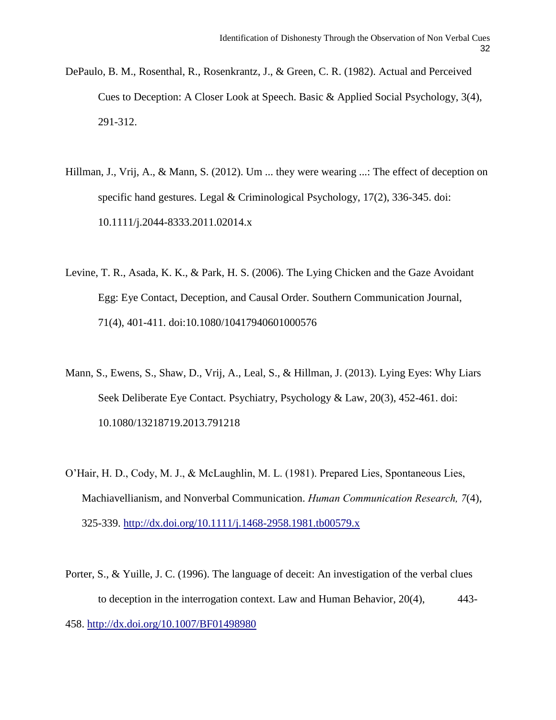- DePaulo, B. M., Rosenthal, R., Rosenkrantz, J., & Green, C. R. (1982). Actual and Perceived Cues to Deception: A Closer Look at Speech. Basic & Applied Social Psychology, 3(4), 291-312.
- Hillman, J., Vrij, A., & Mann, S. (2012). Um ... they were wearing ...: The effect of deception on specific hand gestures. Legal & Criminological Psychology, 17(2), 336-345. doi: 10.1111/j.2044-8333.2011.02014.x
- Levine, T. R., Asada, K. K., & Park, H. S. (2006). The Lying Chicken and the Gaze Avoidant Egg: Eye Contact, Deception, and Causal Order. Southern Communication Journal, 71(4), 401-411. doi:10.1080/10417940601000576
- Mann, S., Ewens, S., Shaw, D., Vrij, A., Leal, S., & Hillman, J. (2013). Lying Eyes: Why Liars Seek Deliberate Eye Contact. Psychiatry, Psychology & Law, 20(3), 452-461. doi: 10.1080/13218719.2013.791218
- O'Hair, H. D., Cody, M. J., & McLaughlin, M. L. (1981). Prepared Lies, Spontaneous Lies, Machiavellianism, and Nonverbal Communication. *Human Communication Research, 7*(4), 325-339.<http://dx.doi.org/10.1111/j.1468-2958.1981.tb00579.x>
- Porter, S., & Yuille, J. C. (1996). The language of deceit: An investigation of the verbal clues to deception in the interrogation context. Law and Human Behavior, 20(4), 443- 458. [http://dx.doi.org/10.1007/BF01498980](http://psycnet.apa.org/doi/10.1007/BF01498980)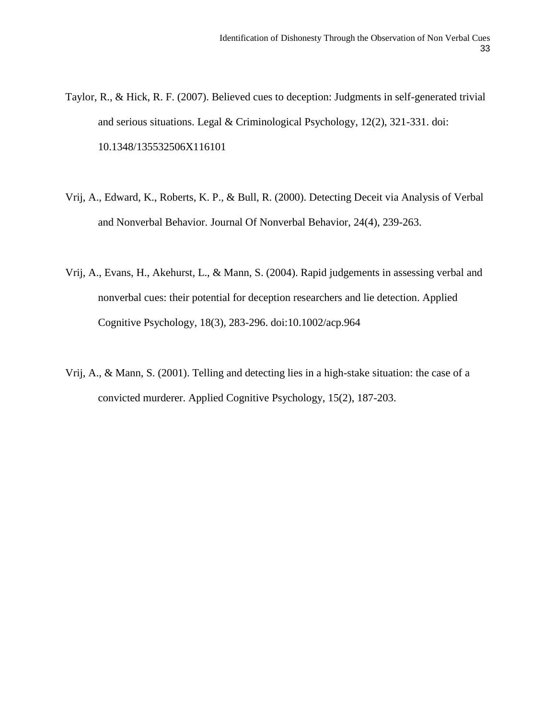- Taylor, R., & Hick, R. F. (2007). Believed cues to deception: Judgments in self-generated trivial and serious situations. Legal & Criminological Psychology, 12(2), 321-331. doi: 10.1348/135532506X116101
- Vrij, A., Edward, K., Roberts, K. P., & Bull, R. (2000). Detecting Deceit via Analysis of Verbal and Nonverbal Behavior. Journal Of Nonverbal Behavior, 24(4), 239-263.
- Vrij, A., Evans, H., Akehurst, L., & Mann, S. (2004). Rapid judgements in assessing verbal and nonverbal cues: their potential for deception researchers and lie detection. Applied Cognitive Psychology, 18(3), 283-296. doi:10.1002/acp.964
- Vrij, A., & Mann, S. (2001). Telling and detecting lies in a high-stake situation: the case of a convicted murderer. Applied Cognitive Psychology, 15(2), 187-203.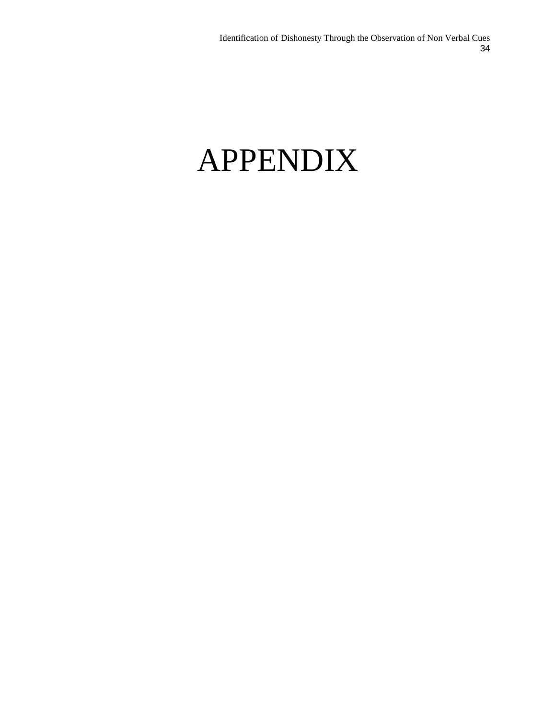# APPENDIX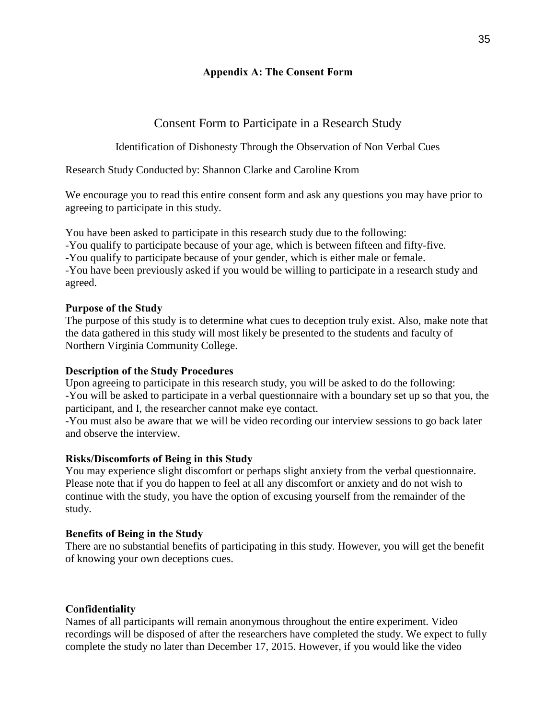# **Appendix A: The Consent Form**

# Consent Form to Participate in a Research Study

Identification of Dishonesty Through the Observation of Non Verbal Cues

Research Study Conducted by: Shannon Clarke and Caroline Krom

We encourage you to read this entire consent form and ask any questions you may have prior to agreeing to participate in this study.

You have been asked to participate in this research study due to the following:

-You qualify to participate because of your age, which is between fifteen and fifty-five.

-You qualify to participate because of your gender, which is either male or female.

-You have been previously asked if you would be willing to participate in a research study and agreed.

# **Purpose of the Study**

The purpose of this study is to determine what cues to deception truly exist. Also, make note that the data gathered in this study will most likely be presented to the students and faculty of Northern Virginia Community College.

# **Description of the Study Procedures**

Upon agreeing to participate in this research study, you will be asked to do the following: -You will be asked to participate in a verbal questionnaire with a boundary set up so that you, the participant, and I, the researcher cannot make eye contact.

-You must also be aware that we will be video recording our interview sessions to go back later and observe the interview.

# **Risks/Discomforts of Being in this Study**

You may experience slight discomfort or perhaps slight anxiety from the verbal questionnaire. Please note that if you do happen to feel at all any discomfort or anxiety and do not wish to continue with the study, you have the option of excusing yourself from the remainder of the study.

# **Benefits of Being in the Study**

There are no substantial benefits of participating in this study. However, you will get the benefit of knowing your own deceptions cues.

# **Confidentiality**

Names of all participants will remain anonymous throughout the entire experiment. Video recordings will be disposed of after the researchers have completed the study. We expect to fully complete the study no later than December 17, 2015. However, if you would like the video